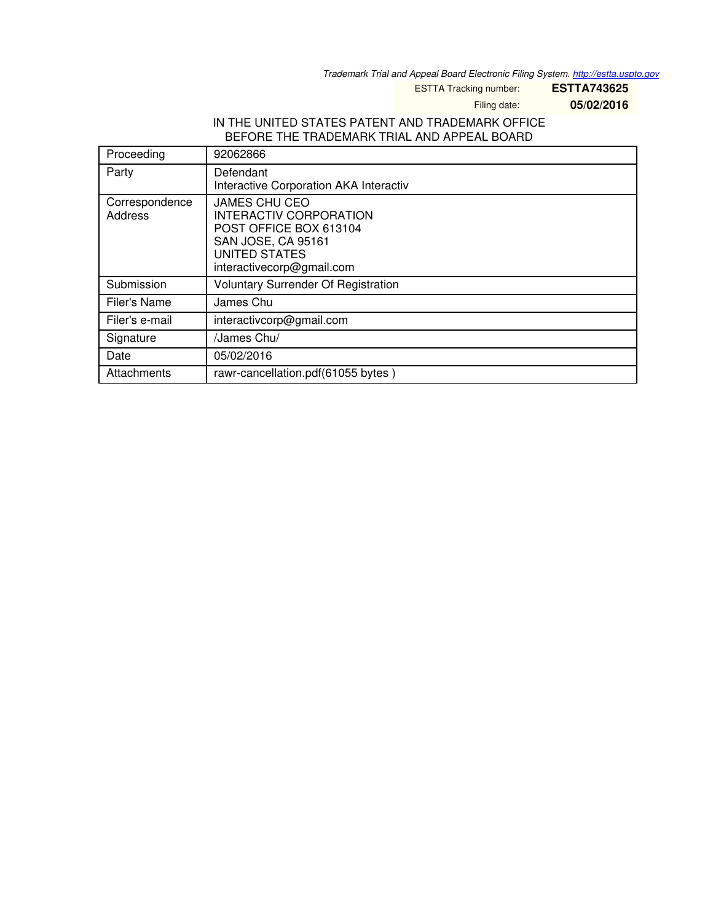*Trademark Trial and Appeal Board Electronic Filing System. <http://estta.uspto.gov>*

ESTTA Tracking number: **ESTTA743625**

Filing date: **05/02/2016**

## IN THE UNITED STATES PATENT AND TRADEMARK OFFICE BEFORE THE TRADEMARK TRIAL AND APPEAL BOARD

| Proceeding                | 92062866                                                                                                                                                   |
|---------------------------|------------------------------------------------------------------------------------------------------------------------------------------------------------|
| Party                     | Defendant<br>Interactive Corporation AKA Interactiv                                                                                                        |
| Correspondence<br>Address | <b>JAMES CHU CEO</b><br>INTERACTIV CORPORATION<br>POST OFFICE BOX 613104<br><b>SAN JOSE, CA 95161</b><br><b>UNITED STATES</b><br>interactivecorp@gmail.com |
| Submission                | Voluntary Surrender Of Registration                                                                                                                        |
| Filer's Name              | James Chu                                                                                                                                                  |
| Filer's e-mail            | interactivcorp@gmail.com                                                                                                                                   |
| Signature                 | /James Chu/                                                                                                                                                |
| Date                      | 05/02/2016                                                                                                                                                 |
| Attachments               | rawr-cancellation.pdf(61055 bytes)                                                                                                                         |